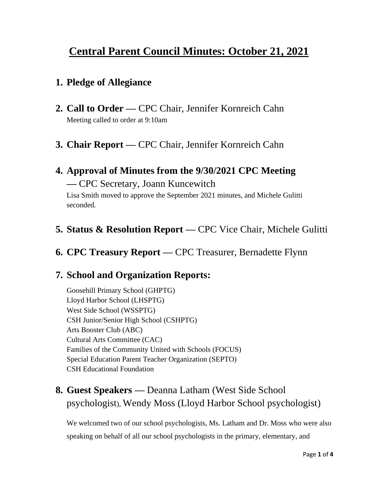# **Central Parent Council Minutes: October 21, 2021**

#### **1. Pledge of Allegiance**

- **2. Call to Order —** CPC Chair, Jennifer Kornreich Cahn Meeting called to order at 9:10am
- **3. Chair Report —** CPC Chair, Jennifer Kornreich Cahn

# **4. Approval of Minutes from the 9/30/2021 CPC Meeting —** CPC Secretary, Joann Kuncewitch

Lisa Smith moved to approve the September 2021 minutes, and Michele Gulitti seconded.

### **5. Status & Resolution Report —** CPC Vice Chair, Michele Gulitti

**6. CPC Treasury Report —** CPC Treasurer, Bernadette Flynn

### **7. School and Organization Reports:**

Goosehill Primary School (GHPTG) Lloyd Harbor School (LHSPTG) West Side School (WSSPTG) CSH Junior/Senior High School (CSHPTG) Arts Booster Club (ABC) Cultural Arts Committee (CAC) Families of the Community United with Schools (FOCUS) Special Education Parent Teacher Organization (SEPTO) CSH Educational Foundation

# **8. Guest Speakers —** Deanna Latham (West Side School psychologist), Wendy Moss (Lloyd Harbor School psychologist)

We welcomed two of our school psychologists, Ms. Latham and Dr. Moss who were also speaking on behalf of all our school psychologists in the primary, elementary, and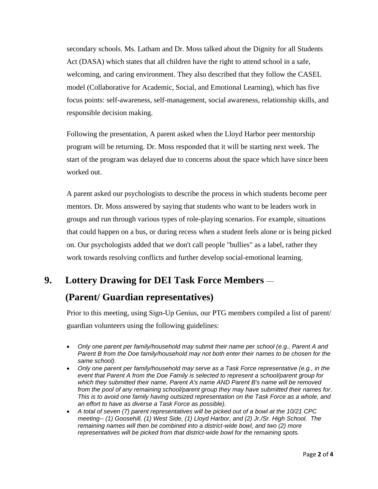secondary schools. Ms. Latham and Dr. Moss talked about the Dignity for all Students Act (DASA) which states that all children have the right to attend school in a safe, welcoming, and caring environment. They also described that they follow the CASEL model (Collaborative for Academic, Social, and Emotional Learning), which has five focus points: self-awareness, self-management, social awareness, relationship skills, and responsible decision making.

Following the presentation, A parent asked when the Lloyd Harbor peer mentorship program will be returning. Dr. Moss responded that it will be starting next week. The start of the program was delayed due to concerns about the space which have since been worked out.

A parent asked our psychologists to describe the process in which students become peer mentors. Dr. Moss answered by saying that students who want to be leaders work in groups and run through various types of role-playing scenarios. For example, situations that could happen on a bus, or during recess when a student feels alone or is being picked on. Our psychologists added that we don't call people "bullies" as a label, rather they work towards resolving conflicts and further develop social-emotional learning.

## **9. Lottery Drawing for DEI Task Force Members** —

### **(Parent/ Guardian representatives)**

Prior to this meeting, using Sign-Up Genius, our PTG members compiled a list of parent/ guardian volunteers using the following guidelines:

- *Only one parent per family/household may submit their name per school (e.g., Parent A and Parent B from the Doe family/household may not both enter their names to be chosen for the same school).*
- *Only one parent per family/household may serve as a Task Force representative (e.g., in the event that Parent A from the Doe Family is selected to represent a school/parent group for which they submitted their name, Parent A's name AND Parent B's name will be removed from the pool of any remaining school/parent group they may have submitted their names for. This is to avoid one family having outsized representation on the Task Force as a whole, and an effort to have as diverse a Task Force as possible).*
- *A total of seven (7) parent representatives will be picked out of a bowl at the 10/21 CPC meeting-- (1) Goosehill, (1) West Side, (1) Lloyd Harbor, and (2) Jr./Sr. High School. The remaining names will then be combined into a district-wide bowl, and two (2) more representatives will be picked from that district-wide bowl for the remaining spots.*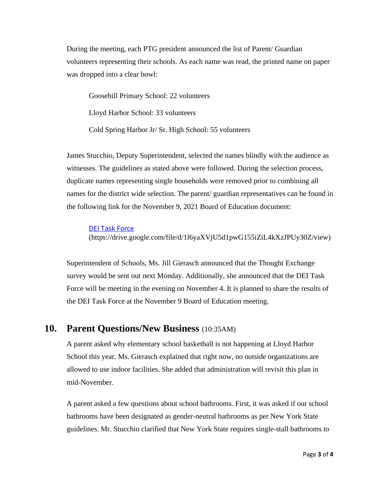During the meeting, each PTG president announced the list of Parent/ Guardian volunteers representing their schools. As each name was read, the printed name on paper was dropped into a clear bowl:

Goosehill Primary School: 22 volunteers Lloyd Harbor School: 33 volunteers Cold Spring Harbor Jr/ Sr. High School: 55 volunteers

James Stucchio, Deputy Superintendent, selected the names blindly with the audience as witnesses. The guidelines as stated above were followed. During the selection process, duplicate names representing single households were removed prior to combining all names for the district wide selection. The parent/ guardian representatives can be found in the following link for the November 9, 2021 Board of Education document:

#### [DEI Task Force](https://drive.google.com/file/d/1l6yaXVjU5d1pwG155iZiL4kXzJPUy30Z/view?usp=sharing)

(https://drive.google.com/file/d/1l6yaXVjU5d1pwG155iZiL4kXzJPUy30Z/view)

Superintendent of Schools, Ms. Jill Gierasch announced that the Thought Exchange survey would be sent out next Monday. Additionally, she announced that the DEI Task Force will be meeting in the evening on November 4. It is planned to share the results of the DEI Task Force at the November 9 Board of Education meeting.

#### **10. Parent Questions/New Business** (10:35AM)

A parent asked why elementary school basketball is not happening at Lloyd Harbor School this year. Ms. Gierasch explained that right now, no outside organizations are allowed to use indoor facilities. She added that administration will revisit this plan in mid-November.

A parent asked a few questions about school bathrooms. First, it was asked if our school bathrooms have been designated as gender-neutral bathrooms as per New York State guidelines. Mr. Stucchio clarified that New York State requires single-stall bathrooms to